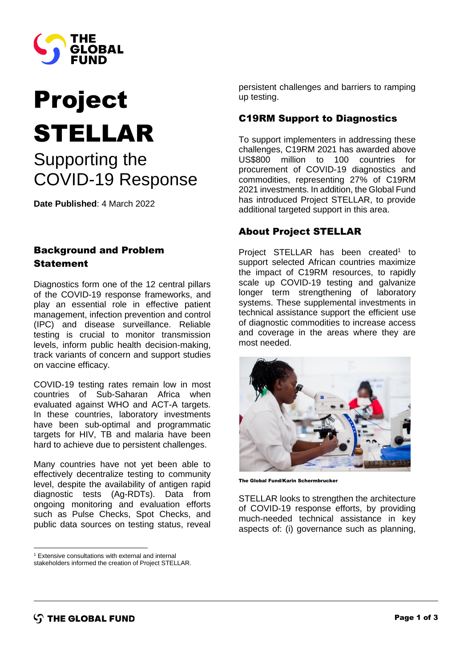

# Project STELLAR

## Supporting the COVID-19 Response

**Date Published**: 4 March 2022

### Background and Problem Statement

Diagnostics form one of the 12 central pillars of the COVID-19 response frameworks, and play an essential role in effective patient management, infection prevention and control (IPC) and disease surveillance. Reliable testing is crucial to monitor transmission levels, inform public health decision-making, track variants of concern and support studies on vaccine efficacy.

COVID-19 testing rates remain low in most countries of Sub-Saharan Africa when evaluated against WHO and ACT-A targets. In these countries, laboratory investments have been sub-optimal and programmatic targets for HIV, TB and malaria have been hard to achieve due to persistent challenges.

Many countries have not yet been able to effectively decentralize testing to community level, despite the availability of antigen rapid diagnostic tests (Ag-RDTs). Data from ongoing monitoring and evaluation efforts such as Pulse Checks, Spot Checks, and public data sources on testing status, reveal

<sup>1</sup> Extensive consultations with external and internal

persistent challenges and barriers to ramping up testing.

#### C19RM Support to Diagnostics

To support implementers in addressing these challenges, C19RM 2021 has awarded above US\$800 million to 100 countries for procurement of COVID-19 diagnostics and commodities, representing 27% of C19RM 2021 investments. In addition, the Global Fund has introduced Project STELLAR, to provide additional targeted support in this area.

#### About Project STELLAR

Project STELLAR has been created<sup>1</sup> to support selected African countries maximize the impact of C19RM resources, to rapidly scale up COVID-19 testing and galvanize longer term strengthening of laboratory systems. These supplemental investments in technical assistance support the efficient use of diagnostic commodities to increase access and coverage in the areas where they are most needed.



The Global Fund/Karin Schermbrucker

STELLAR looks to strengthen the architecture of COVID-19 response efforts, by providing much-needed technical assistance in key aspects of: (i) governance such as planning,

stakeholders informed the creation of Project STELLAR.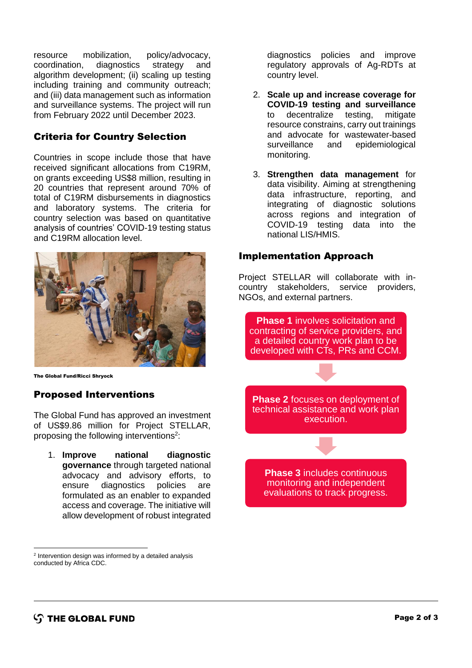resource mobilization, policy/advocacy, coordination, diagnostics strategy and algorithm development; (ii) scaling up testing including training and community outreach; and (iii) data management such as information and surveillance systems. The project will run from February 2022 until December 2023.

#### Criteria for Country Selection

Countries in scope include those that have received significant allocations from C19RM, on grants exceeding US\$8 million, resulting in 20 countries that represent around 70% of total of C19RM disbursements in diagnostics and laboratory systems. The criteria for country selection was based on quantitative analysis of countries' COVID-19 testing status and C19RM allocation level.



The Global Fund/Ricci Shryock

#### Proposed Interventions

The Global Fund has approved an investment of US\$9.86 million for Project STELLAR, proposing the following interventions<sup>2</sup>:

1. **Improve national diagnostic governance** through targeted national advocacy and advisory efforts, to ensure diagnostics policies are formulated as an enabler to expanded access and coverage. The initiative will allow development of robust integrated

<sup>2</sup> Intervention design was informed by a detailed analysis conducted by Africa CDC.

diagnostics policies and improve regulatory approvals of Ag-RDTs at country level.

- 2. **Scale up and increase coverage for COVID-19 testing and surveillance** to decentralize testing, mitigate resource constrains, carry out trainings and advocate for wastewater-based surveillance and epidemiological monitoring.
- 3. **Strengthen data management** for data visibility. Aiming at strengthening data infrastructure, reporting, and integrating of diagnostic solutions across regions and integration of COVID-19 testing data into the national LIS/HMIS.

#### Implementation Approach

Project STELLAR will collaborate with incountry stakeholders, service providers, NGOs, and external partners.